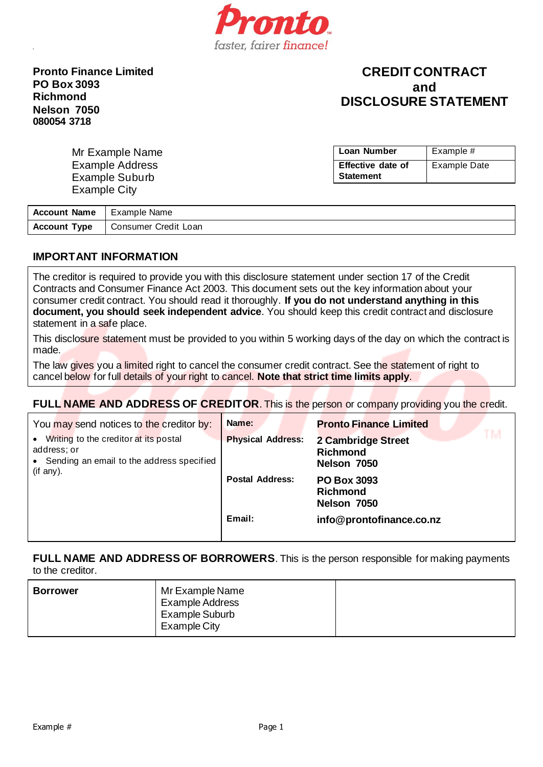

**Pronto Finance Limited PO Box 3093 Richmond Nelson 7050 080054 3718**

# **CREDIT CONTRACT and DISCLOSURE STATEMENT**

| Mr Example Name        | Loan Number       | Example #    |
|------------------------|-------------------|--------------|
| <b>Example Address</b> | Effective date of | Example Date |
| Example Suburb         | <b>Statement</b>  |              |
| Example City           |                   |              |

| <b>Account Name</b>   Example Name |                      |
|------------------------------------|----------------------|
| <b>Account Type</b>                | Consumer Credit Loan |

## **IMPORTANT INFORMATION**

The creditor is required to provide you with this disclosure statement under section 17 of the Credit Contracts and Consumer Finance Act 2003. This document sets out the key information about your consumer credit contract. You should read it thoroughly. **If you do not understand anything in this document, you should seek independent advice**. You should keep this credit contract and disclosure statement in a safe place.

This disclosure statement must be provided to you within 5 working days of the day on which the contract is made.

The law gives you a limited right to cancel the consumer credit contract. See the statement of right to cancel below for full details of your right to cancel. **Note that strict time limits apply**.

# **FULL NAME AND ADDRESS OF CREDITOR**. This is the person or company providing you the credit.

| You may send notices to the creditor by:                                                                         | Name:                    | <b>Pronto Finance Limited</b>                        |
|------------------------------------------------------------------------------------------------------------------|--------------------------|------------------------------------------------------|
| Writing to the creditor at its postal<br>address; or<br>• Sending an email to the address specified<br>(if any). | <b>Physical Address:</b> | 2 Cambridge Street<br><b>Richmond</b><br>Nelson 7050 |
|                                                                                                                  | <b>Postal Address:</b>   | <b>PO Box 3093</b><br><b>Richmond</b><br>Nelson 7050 |
|                                                                                                                  | Email:                   | info@prontofinance.co.nz                             |

**FULL NAME AND ADDRESS OF BORROWERS**. This is the person responsible for making payments to the creditor.

| Mr Example Name<br><b>Borrower</b><br><b>Example Address</b><br>Example Suburb<br>Example City |  |
|------------------------------------------------------------------------------------------------|--|
|------------------------------------------------------------------------------------------------|--|

Example # Page 1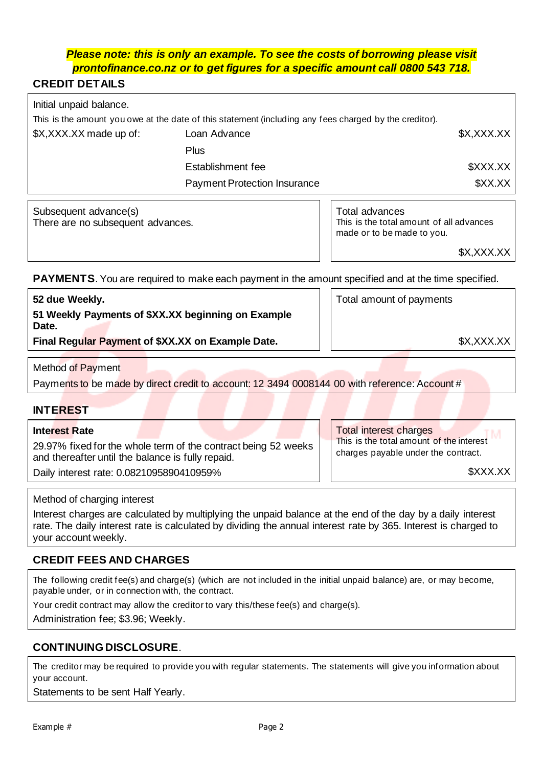## *Please note: this is only an example. To see the costs of borrowing please visit prontofinance.co.nz or to get figures for a specific amount call 0800 543 718.*

# **CREDIT DETAILS**

| Initial unpaid balance. |                                                                                                        |            |
|-------------------------|--------------------------------------------------------------------------------------------------------|------------|
|                         | This is the amount you owe at the date of this statement (including any fees charged by the creditor). |            |
| \$X,XXX.XX made up of:  | Loan Advance                                                                                           | \$X,XXX.XX |
|                         | <b>Plus</b>                                                                                            |            |
|                         | Establishment fee                                                                                      | \$XXX.XX   |
|                         | <b>Payment Protection Insurance</b>                                                                    | \$XX.XX    |
|                         |                                                                                                        |            |

Subsequent advance(s) There are no subsequent advances. Total advances This is the total amount of all advances made or to be made to you.

\$X,XXX.XX

**PAYMENTS**. You are required to make each payment in the amount specified and at the time specified.

| 51 Weekly Payments of \$XX.XX beginning on Example<br>Date. |            |
|-------------------------------------------------------------|------------|
| Final Regular Payment of \$XX.XX on Example Date.           | \$X,XXX.XX |

Method of Payment

Payments to be made by direct credit to account: 12 3494 0008144 00 with reference: Account #

## **INTEREST**

## **Interest Rate**

29.97% fixed for the whole term of the contract being 52 weeks and thereafter until the balance is fully repaid. Daily interest rate: 0.0821095890410959%

Total interest charges This is the total amount of the interest charges payable under the contract.

\$XXX.XX

## Method of charging interest

Interest charges are calculated by multiplying the unpaid balance at the end of the day by a daily interest rate. The daily interest rate is calculated by dividing the annual interest rate by 365. Interest is charged to your account weekly.

# **CREDIT FEES AND CHARGES**

The following credit fee(s) and charge(s) (which are not included in the initial unpaid balance) are, or may become, payable under, or in connection with, the contract.

Your credit contract may allow the creditor to vary this/these fee(s) and charge(s).

Administration fee; \$3.96; Weekly.

## **CONTINUING DISCLOSURE**.

The creditor may be required to provide you with regular statements. The statements will give you information about your account.

Statements to be sent Half Yearly.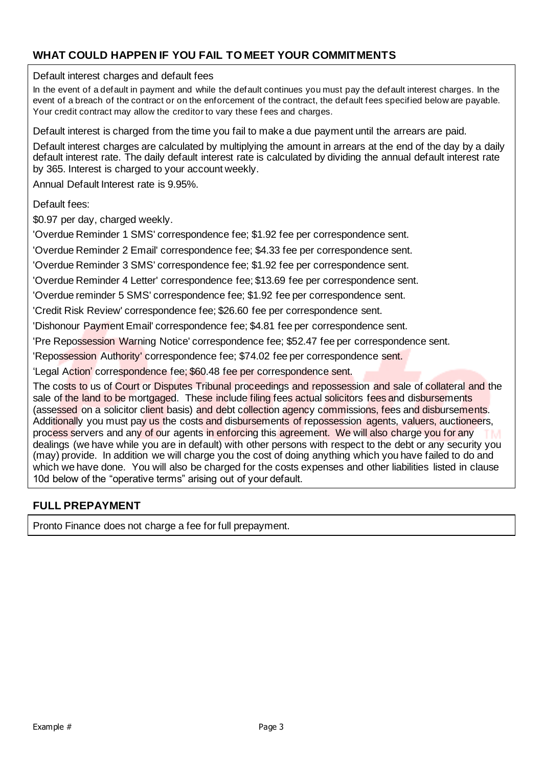# **WHAT COULD HAPPEN IF YOU FAIL TO MEET YOUR COMMITMENTS**

Default interest charges and default fees

In the event of a default in payment and while the default continues you must pay the default interest charges. In the event of a breach of the contract or on the enforcement of the contract, the default fees specified below are payable. Your credit contract may allow the creditor to vary these f ees and charges.

Default interest is charged from the time you fail to make a due payment until the arrears are paid.

Default interest charges are calculated by multiplying the amount in arrears at the end of the day by a daily default interest rate. The daily default interest rate is calculated by dividing the annual default interest rate by 365. Interest is charged to your account weekly.

Annual Default Interest rate is 9.95%.

Default fees:

\$0.97 per day, charged weekly.

'Overdue Reminder 1 SMS' correspondence fee; \$1.92 fee per correspondence sent.

'Overdue Reminder 2 Email' correspondence fee; \$4.33 fee per correspondence sent.

'Overdue Reminder 3 SMS' correspondence fee; \$1.92 fee per correspondence sent.

'Overdue Reminder 4 Letter' correspondence fee; \$13.69 fee per correspondence sent.

'Overdue reminder 5 SMS' correspondence fee; \$1.92 fee per correspondence sent.

'Credit Risk Review' correspondence fee; \$26.60 fee per correspondence sent.

'Dishonour Payment Email' correspondence fee; \$4.81 fee per correspondence sent.

'Pre Repossession Warning Notice' correspondence fee; \$52.47 fee per correspondence sent.

'Repossession Authority' correspondence fee; \$74.02 fee per correspondence sent.

'Legal Action' correspondence fee; \$60.48 fee per correspondence sent.

The costs to us of Court or Disputes Tribunal proceedings and repossession and sale of collateral and the sale of the land to be mortgaged. These include filing fees actual solicitors fees and disbursements (assessed on a solicitor client basis) and debt collection agency commissions, fees and disbursements. Additionally you must pay us the costs and disbursements of repossession agents, valuers, auctioneers, process servers and any of our agents in enforcing this agreement. We will also charge you for any dealings (we have while you are in default) with other persons with respect to the debt or any security you (may) provide. In addition we will charge you the cost of doing anything which you have failed to do and which we have done. You will also be charged for the costs expenses and other liabilities listed in clause 10d below of the "operative terms" arising out of your default.

## **FULL PREPAYMENT**

Pronto Finance does not charge a fee for full prepayment.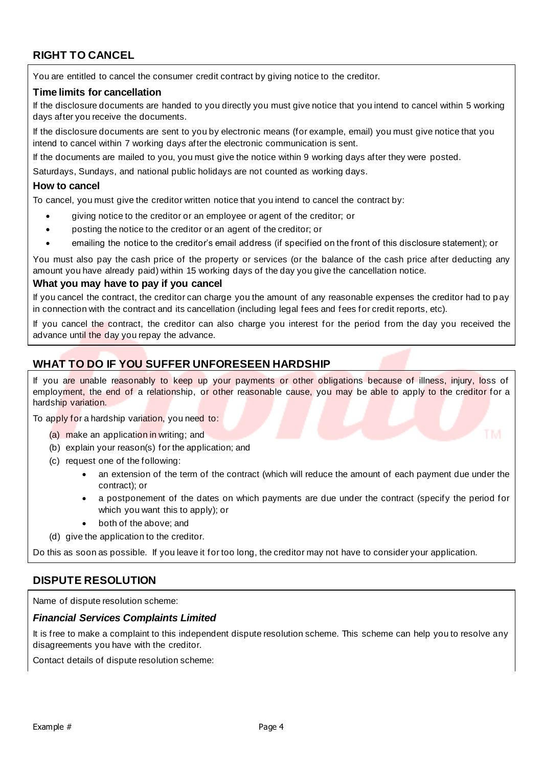# **RIGHT TO CANCEL**

You are entitled to cancel the consumer credit contract by giving notice to the creditor.

### **Time limits for cancellation**

If the disclosure documents are handed to you directly you must give notice that you intend to cancel within 5 working days after you receive the documents.

If the disclosure documents are sent to you by electronic means (for example, email) you must give notice that you intend to cancel within 7 working days after the electronic communication is sent.

If the documents are mailed to you, you must give the notice within 9 working days after they were posted.

Saturdays, Sundays, and national public holidays are not counted as working days.

### **How to cancel**

To cancel, you must give the creditor written notice that you intend to cancel the contract by:

- giving notice to the creditor or an employee or agent of the creditor; or
- posting the notice to the creditor or an agent of the creditor; or
- emailing the notice to the creditor's email address (if specified on the front of this disclosure statement); or

You must also pay the cash price of the property or services (or the balance of the cash price after deducting any amount you have already paid) within 15 working days of the day you give the cancellation notice.

### **What you may have to pay if you cancel**

If you cancel the contract, the creditor can charge you the amount of any reasonable expenses the creditor had to pay in connection with the contract and its cancellation (including legal fees and fees for credit reports, etc).

If you cancel the contract, the creditor can also charge you interest for the period from the day you received the advance until the day you repay the advance.

## **WHAT TO DO IF YOU SUFFER UNFORESEEN HARDSHIP**

If you are unable reasonably to keep up your payments or other obligations because of illness, injury, loss of employment, the end of a relationship, or other reasonable cause, you may be able to apply to the creditor for a hardship variation.

To apply for a hardship variation, you need to:

- (a) make an application in writing; and
- (b) explain your reason(s) for the application; and
- (c) request one of the following:
	- an extension of the term of the contract (which will reduce the amount of each payment due under the contract); or
	- a postponement of the dates on which payments are due under the contract (specify the period for which you want this to apply); or
	- both of the above; and
- (d) give the application to the creditor.

Do this as soon as possible. If you leave it for too long, the creditor may not have to consider your application.

## **DISPUTE RESOLUTION**

Name of dispute resolution scheme:

### *Financial Services Complaints Limited*

It is free to make a complaint to this independent dispute resolution scheme. This scheme can help you to resolve any disagreements you have with the creditor.

Contact details of dispute resolution scheme: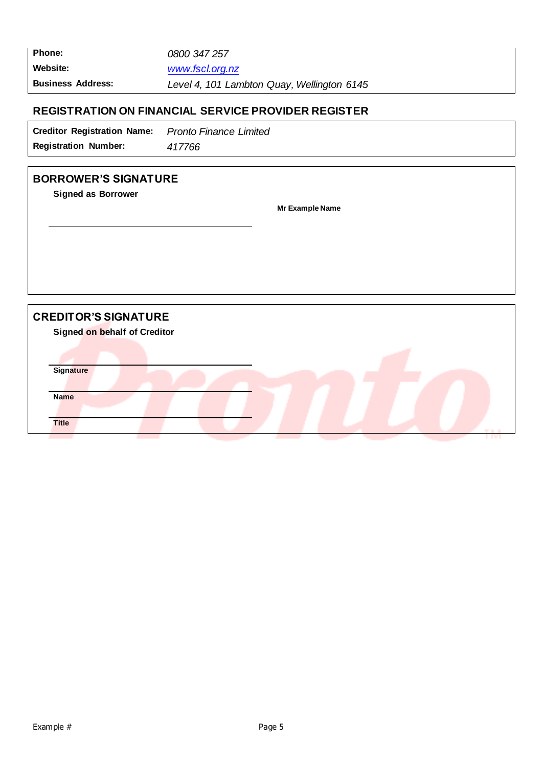| <b>Phone:</b>            | 0800 347 257                               |  |
|--------------------------|--------------------------------------------|--|
| Website:                 | www.fscl.org.nz                            |  |
| <b>Business Address:</b> | Level 4, 101 Lambton Quay, Wellington 6145 |  |

# **REGISTRATION ON FINANCIAL SERVICE PROVIDER REGISTER**

| <b>Creditor Registration Name:</b> | <b>Pronto Finance Limited</b> |
|------------------------------------|-------------------------------|
| <b>Registration Number:</b>        | 417766                        |

# **BORROWER'S SIGNATURE**

**Signed as Borrower**

**Mr Example Name**

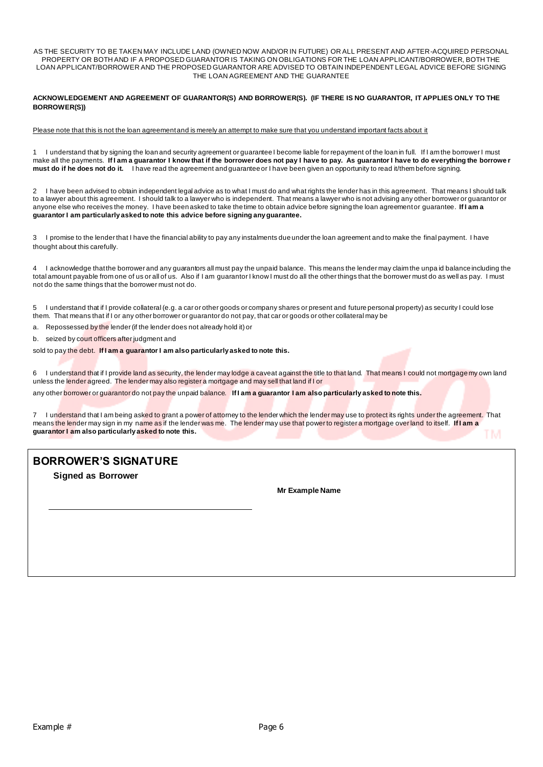AS THE SECURITY TO BE TAKEN MAY INCLUDE LAND (OWNED NOW AND/OR IN FUTURE) OR ALL PRESENT AND AFTER-ACQUIRED PERSONAL PROPERTY OR BOTH AND IF A PROPOSED GUARANTOR IS TAKING ON OBLIGATIONS FOR THE LOAN APPLICANT/BORROWER, BOTH THE LOAN APPLICANT/BORROWER AND THE PROPOSED GUARANTOR ARE ADVISED TO OBTAIN INDEPENDENT LEGAL ADVICE BEFORE SIGNING THE LOAN AGREEMENT AND THE GUARANTEE

**ACKNOWLEDGEMENT AND AGREEMENT OF GUARANTOR(S) AND BORROWER(S). (IF THERE IS NO GUARANTOR, IT APPLIES ONLY TO THE BORROWER(S))**

Please note that this is not the loan agreement and is merely an attempt to make sure that you understand important facts about it

1 I understand that by signing the loan and security agreement or guarantee I become liable for repayment of the loan in full. If I am the borrower I must make all the payments. **If I am a guarantor I know that if the borrower does not pay I have to pay. As guarantor I have to do everything the borrowe r must do if he does not do it.** I have read the agreement and guarantee or I have been given an opportunity to read it/them before signing.

2 I have been advised to obtain independent legal advice as to what I must do and what rights the lender has in this agreement. That means I should talk to a lawyer about this agreement. I should talk to a lawyer who is independent. That means a lawyer who is not advising any other borrower or guarantor or anyone else who receives the money. I have been asked to take the time to obtain advice before signing the loan agreement or guarantee. **If I am a guarantor I am particularly asked to note this advice before signing any guarantee.**

3 I promise to the lender that I have the financial ability to pay any instalments due under the loan agreement and to make the final payment. I have thought about this carefully.

4 I acknowledge that the borrower and any guarantors all must pay the unpaid balance. This means the lender may claim the unpa id balance including the total amount payable from one of us or all of us. Also if I am guarantor I know I must do all the other things that the borrower must do as well as pay. I must not do the same things that the borrower must not do.

5 I understand that if I provide collateral (e.g. a car or other goods or company shares or present and future personal property) as security I could lose them. That means that if I or any other borrower or guarantor do not pay, that car or goods or other collateral may be

a. Repossessed by the lender (if the lender does not already hold it) or

b. seized by court officers after judgment and

sold to pay the debt. **If I am a guarantor I am also particularly asked to note this.**

6 I understand that if I provide land as security, the lender may lodge a caveat against the title to that land. That means I could not mortgage my own land unless the lender agreed. The lender may also register a mortgage and may sell that land if I or

any other borrower or guarantor do not pay the unpaid balance. **If I am a guarantor I am also particularly asked to note this.**

7 I understand that I am being asked to grant a power of attorney to the lender which the lender may use to protect its rights under the agreement. That means the lender may sign in my name as if the lender was me. The lender may use that power to register a mortgage over land to itself. **If I am a guarantor I am also particularly asked to note this.**  TM.

## **BORROWER'S SIGNATURE**

**Signed as Borrower**

**Mr Example Name**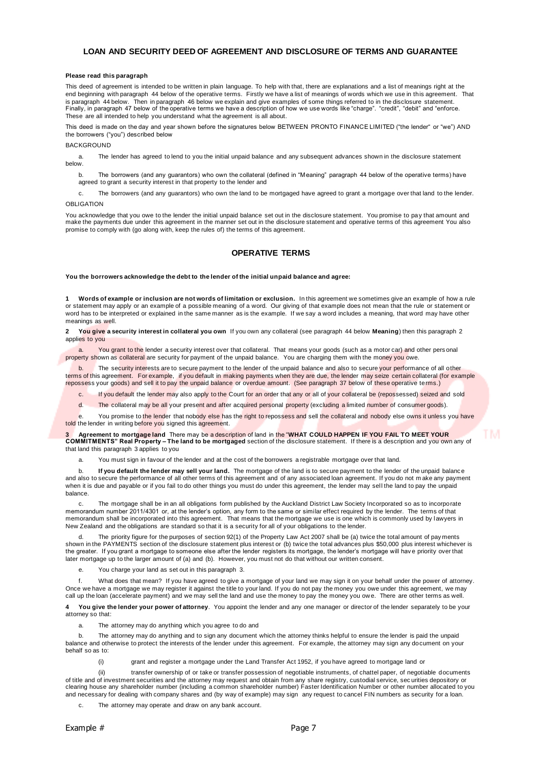### **LOAN AND SECURITY DEED OF AGREEMENT AND DISCLOSURE OF TERMS AND GUARANTEE**

#### **Please read this paragraph**

This deed of agreement is intended to be written in plain language. To help with that, there are explanations and a list of meanings right at the end beginning with paragraph 44 below of the operative terms. Firstly we have a list of meanings of words which we use in this agreement. That is paragraph 44 below. Then in paragraph 46 below we explain and give examples of some things referred to in the disclosure statement. Finally, in paragraph 47 below of the operative terms we have a description of how we use words like "charge". "credit", "debit" and "enforce. These are all intended to help you understand what the agreement is all about.

This deed is made on the day and year shown before the signatures below BETWEEN PRONTO FINANCE LIMITED ("the lender" or "we") AND the borrowers ("you") described below

### **BACKGROUND**

a. The lender has agreed to lend to you the initial unpaid balance and any subsequent advances shown in the disclosure statement below.

b. The borrowers (and any guarantors) who own the collateral (defined in "Meaning" paragraph 44 below of the operative terms) have agreed to grant a security interest in that property to the lender and

c. The borrowers (and any guarantors) who own the land to be mortgaged have agreed to grant a mortgage over that land to the lender. OBLIGATION

You acknowledge that you owe to the lender the initial unpaid balance set out in the disclosure statement. You promise to pay that amount and make the payments due under this agreement in the manner set out in the disclosure statement and operative terms of this agreement You also promise to comply with (go along with, keep the rules of) the terms of this agreement.

### **OPERATIVE TERMS**

**You the borrowers acknowledge the debt to the lender of the initial unpaid balance and agree:**

**1 Words of example or inclusion are not words of limitation or exclusion.** In this agreement we sometimes give an example of how a rule or statement may apply or an example of a possible meaning of a word. Our giving of that example does not mean that the rule or statement or word has to be interpreted or explained in the same manner as is the example. If we say a word includes a meaning, that word may have other meanings as well.

**2 You give a security interest in collateral you own** If you own any collateral (see paragraph 44 below **Meaning**) then this paragraph 2 applies to you

You grant to the lender a security interest over that collateral. That means your goods (such as a motor car) and other pers onal property shown as collateral are security for payment of the unpaid balance. You are charging them with the money you owe.

The security interests are to secure payment to the lender of the unpaid balance and also to secure your performance of all other terms of this agreement. For example, if you default in making payments when they are due, the lender may seize certain collateral (for example repossess your goods) and sell it to pay the unpaid balance or overdue amount. (See paragraph 37 below of these operative terms.)

c. If you default the lender may also apply to the Court for an order that any or all of your collateral be (repossessed) seized and sold

d. The collateral may be all your present and after acquired personal property (excluding a limited number of consumer goods).

You promise to the lender that nobody else has the right to repossess and sell the collateral and nobody else owns it unless you have told the lender in writing before you signed this agreement.

#### **3 Agreement to mortgage land** There may be a description of land in the "**WHAT COULD HAPPEN IF YOU FAIL TO MEET YOUR COMMITMENTS" Real Property – The land to be mortgaged** section of the disclosure statement. If there is a description and you own any of that land this paragraph 3 applies to you

a. You must sign in favour of the lender and at the cost of the borrowers a registrable mortgage over that land.

b. **If you default the lender may sell your land.** The mortgage of the land is to secure payment to the lender of the unpaid balance and also to secure the performance of all other terms of this agreement and of any associated loan agreement. If you do not m ake any payment when it is due and payable or if you fail to do other things you must do under this agreement, the lender may sel l the land to pay the unpaid balance.

The mortgage shall be in an all obligations form published by the Auckland District Law Society Incorporated so as to incorporate memorandum number 2011/4301 or, at the lender's option, any form to the same or similar effect required by the lender. The terms of that memorandum shall be incorporated into this agreement. That means that the mortgage we use is one which is commonly used by lawyers in New Zealand and the obligations are standard so that it is a security for all of your obligations to the lender.

The priority figure for the purposes of section 92(1) of the Property Law Act 2007 shall be (a) twice the total amount of pay ments shown in the PAYMENTS section of the disclosure statement plus interest or (b) twice the total advances plus \$50,000 plus interest whichever is the greater. If you grant a mortgage to someone else after the lender registers its mortgage, the lender's mortgage will hav e priority over that later mortgage up to the larger amount of (a) and (b). However, you must not do that without our written consent.

e. You charge your land as set out in this paragraph 3.

f. What does that mean? If you have agreed to give a mortgage of your land we may sign it on your behalf under the power of attorney. Once we have a mortgage we may register it against the title to your land. If you do not pay the money you owe under this agreement, we may call up the loan (accelerate payment) and we may sell the land and use the money to pay the money you ow e. There are other terms as well.

**4 You give the lender your power of attorney**. You appoint the lender and any one manager or director of the lender separately to be your attorney so that:

a. The attorney may do anything which you agree to do and

b. The attorney may do anything and to sign any document which the attorney thinks helpful to ensure the lender is paid the unpaid balance and otherwise to protect the interests of the lender under this agreement. For example, the attorney may sign any document on your behalf so as to:

(i) grant and register a mortgage under the Land Transfer Act 1952, if you have agreed to mortgage land or

(ii) transfer ownership of or take or transfer possession of negotiable instruments, of chattel paper, of negotiable documents of title and of investment securities and the attorney may request and obtain from any share registry, custodial service, sec urities depository or clearing house any shareholder number (including a common shareholder number) Faster Identification Number or other number allocated to you and necessary for dealing with company shares and (by way of example) may sign any request to cancel FIN numbers as security for a loan.

The attorney may operate and draw on any bank account.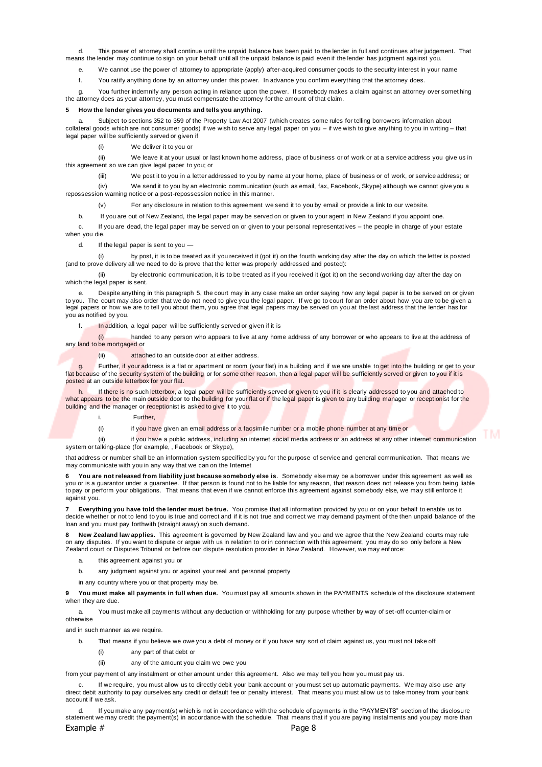d. This power of attorney shall continue until the unpaid balance has been paid to the lender in full and continues after judgement. That means the lender may continue to sign on your behalf until all the unpaid balance is paid even if the lender has judgment against you.

e. We cannot use the power of attorney to appropriate (apply) after-acquired consumer goods to the security interest in your name

f. You ratify anything done by an attorney under this power. In advance you confirm everything that the attorney does.

g. You further indemnify any person acting in reliance upon the power. If somebody makes a claim against an attorney over somet hing the attorney does as your attorney, you must compensate the attorney for the amount of that claim.

#### **5 How the lender gives you documents and tells you anything.**

Subject to sections 352 to 359 of the Property Law Act 2007 (which creates some rules for telling borrowers information about collateral goods which are not consumer goods) if we wish to serve any legal paper on you – if we wish to give anything to you in writing – that legal paper will be sufficiently served or given if

(i) We deliver it to you or

(ii) We leave it at your usual or last known home address, place of business or of work or at a service address you give us in this agreement so we can give legal paper to you; or

We post it to you in a letter addressed to you by name at your home, place of business or of work, or service address; or

(iv) We send it to you by an electronic communication (such as email, fax, Facebook, Skype) although we cannot give you a

repossession warning notice or a post-repossession notice in this manner.

(v) For any disclosure in relation to this agreement we send it to you by email or provide a link to our website.

b. If you are out of New Zealand, the legal paper may be served on or given to your agent in New Zealand if you appoint one.

c. If you are dead, the legal paper may be served on or given to your personal representatives – the people in charge of your estate when you die.

d. If the legal paper is sent to you

(i) by post, it is to be treated as if you received it (got it) on the fourth working day after the day on which the letter is posted (and to prove delivery all we need to do is prove that the letter was properly addressed and posted):

(ii) by electronic communication, it is to be treated as if you received it (got it) on the second working day after the day on which the legal paper is sent.

e. Despite anything in this paragraph 5, the court may in any case make an order saying how any legal paper is to be served on or given to you. The court may also order that we do not need to give you the legal paper. If we go to court for an order about how you are to be given a<br>legal papers or how we are to tell you about them, you agree that legal pa you as notified by you.

f. In addition, a legal paper will be sufficiently served or given if it is

(i) handed to any person who appears to live at any home address of any borrower or who appears to live at the address of any land to be mortgaged or

(ii) attached to an outside door at either address.

g. Further, if your address is a flat or apartment or room (your flat) in a building and if we are unable to get into the building or get to your flat because of the security system of the building or for some other reason, then a legal paper will be sufficiently served or given to you if it is posted at an outside letterbox for your flat.

If there is no such letterbox, a legal paper will be sufficiently served or given to you if it is clearly addressed to you and attached to what appears to be the main outside door to the building for your flat or if the legal paper is given to any building manager or receptionist for the building and the manager or receptionist is asked to give it to you.

i. Further,

(i) if you have given an email address or a facsimile number or a mobile phone number at any time or

(ii) if you have a public address, including an internet social media address or an address at any other internet communication system or talking-place (for example, , Facebook or Skype),

that address or number shall be an information system specified by you for the purpose of service and general communication. That means we may communicate with you in any way that we can on the Internet

**6 You are not released from liability just because somebody else is**. Somebody else may be a borrower under this agreement as well as<br>you or is a guarantor under a guarantee. If that person is found not to be liable for to pay or perform your obligations. That means that even if we cannot enforce this agreement against somebody else, we may still enforce it against you.

**7 Everything you have told the lender must be true.** You promise that all information provided by you or on your behalf to enable us to decide whether or not to lend to you is true and correct and if it is not true and correct we may demand payment of the then unpaid balance of the loan and you must pay forthwith (straight away) on such demand.

**8 New Zealand law applies.** This agreement is governed by New Zealand law and you and we agree that the New Zealand courts may rule on any disputes. If you want to dispute or argue with us in relation to or in connection with this agreement, you may do so only before a New Zealand court or Disputes Tribunal or before our dispute resolution provider in New Zealand. However, we may enf orce:

a. this agreement against you or

b. any judgment against you or against your real and personal property

in any country where you or that property may be.

**9 You must make all payments in full when due.** You must pay all amounts shown in the PAYMENTS schedule of the disclosure statement when they are due.

a. You must make all payments without any deduction or withholding for any purpose whether by way of set-off counter-claim or otherwise

and in such manner as we require.

b. That means if you believe we owe you a debt of money or if you have any sort of claim against us, you must not take off

- (i) any part of that debt or
- (ii) any of the amount you claim we owe you

from your payment of any instalment or other amount under this agreement. Also we may tell you how you must pay us.

If we require, you must allow us to directly debit your bank account or you must set up automatic payments. We may also use any direct debit authority to pay ourselves any credit or default fee or penalty interest. That means you must allow us to take money from your bank account if we ask.

If you make any payment(s) which is not in accordance with the schedule of payments in the "PAYMENTS" section of the disclosure statement we may credit the payment(s) in accordance with the schedule. That means that if you are paying instalments and you pay more than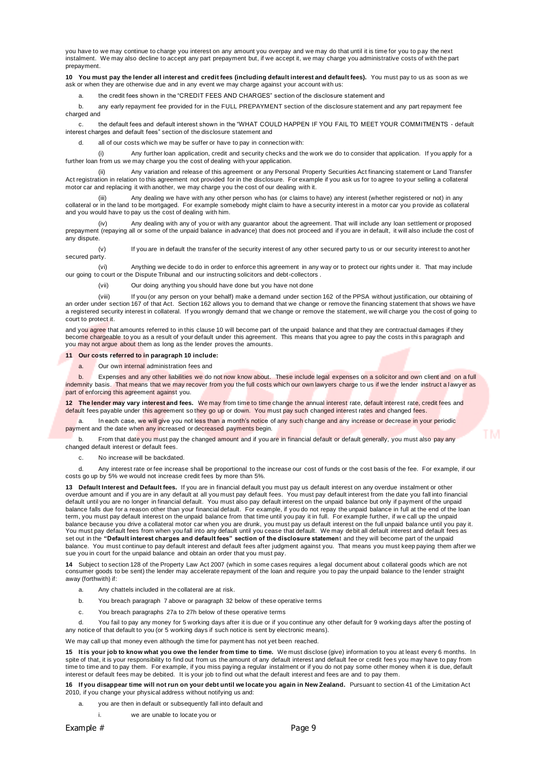you have to we may continue to charge you interest on any amount you overpay and we may do that until it is time for you to pay the next instalment. We may also decline to accept any part prepayment but, if we accept it, we may charge you administrative costs of with the part prepayment.

**10 You must pay the lender all interest and credit fees (including default interest and default fees).** You must pay to us as soon as we ask or when they are otherwise due and in any event we may charge against your account with us:

the credit fees shown in the "CREDIT FEES AND CHARGES" section of the disclosure statement and

b. any early repayment fee provided for in the FULL PREPAYMENT section of the disclosure statement and any part repayment fee charged and

c. the default fees and default interest shown in the "WHAT COULD HAPPEN IF YOU FAIL TO MEET YOUR COMMITMENTS - default interest charges and default fees" section of the disclosure statement and

d. all of our costs which we may be suffer or have to pay in connection with:

(i) Any further loan application, credit and security checks and the work we do to consider that application. If you apply for a further loan from us we may charge you the cost of dealing with your application.

(ii) Any variation and release of this agreement or any Personal Property Securities Act financing statement or Land Transfer Act registration in relation to this agreement not provided for in the disclosure. For example if you ask us for to agree to your selling a collateral motor car and replacing it with another, we may charge you the cost of our dealing with it.

Any dealing we have with any other person who has (or claims to have) any interest (whether registered or not) in any collateral or in the land to be mortgaged. For example somebody might claim to have a security interest in a motor car you provide as collateral or in the land to be mortgaged. For example somebody might claim to have a se and you would have to pay us the cost of dealing with him.

(iv) Any dealing with any of you or with any guarantor about the agreement. That will include any loan settlement or proposed prepayment (repaying all or some of the unpaid balance in advance) that does not proceed and if you are in default, it will also include the cost of any dispute.

(v) If you are in default the transfer of the security interest of any other secured party to us or our security interest to anot her secured party.

(vi) Anything we decide to do in order to enforce this agreement in any way or to protect our rights under it. That may include our going to court or the Dispute Tribunal and our instructing solicitors and debt-collectors .

(vii) Our doing anything you should have done but you have not done

(viii) If you (or any person on your behalf) make a demand under section 162 of the PPSA without justification, our obtaining of an order under section 167 of that Act. Section 162 allows you to demand that we change or remove the financing statement that shows we have a registered security interest in collateral. If you wrongly demand that we change or remove the statement, we will charge you the cost of going to court to protect it.

and you agree that amounts referred to in this clause 10 will become part of the unpaid balance and that they are contractual damages if they become chargeable to you as a result of your default under this agreement. This means that you agree to pay the costs in this paragraph and you may not argue about them as long as the lender proves the amounts.

**11 Our costs referred to in paragraph 10 include:**

a. Our own internal administration fees and

b. Expenses and any other liabilities we do not now know about. These include legal expenses on a solicitor and own client and on a full indemnity basis. That means that we may recover from you the full costs which our own lawyers charge to us if we the lender instruct a lawyer as part of enforcing this agreement against you.

**12 The lender may vary interest and fees.** We may from time to time change the annual interest rate, default interest rate, credit fees and default fees payable under this agreement so they go up or down. You must pay such changed interest rates and changed fees.

In each case, we will give you not less than a month's notice of any such change and any increase or decrease in your periodic payment and the date when any increased or decreased payments begin.

b. From that date you must pay the changed amount and if you are in financial default or default generally, you must also pay any changed default interest or default fees.

c. No increase will be backdated.

d. Any interest rate or fee increase shall be proportional to the increase our cost of funds or the cost basis of the fee. For example, if our costs go up by 5% we would not increase credit fees by more than 5%.

**13 Default Interest and Default fees.** If you are in financial default you must pay us default interest on any overdue instalment or other overdue amount and if you are in any default at all you must pay default fees. You must pay default interest from the date you fall into financial<br>default until you are no longer in financial default. You must also pay def balance falls due for a reason other than your financial default. For example, if you do not repay the unpaid balance in full at the end of the loan term, you must pay default interest on the unpaid balance from that time until you pay it in full. For example further, if w e call up the unpaid balance because you drive a collateral motor car when you are drunk, you must pay us default interest on the full unpaid balance until you pay it. You must pay default fees from when you fall into any default until you cease that default. We may debit all default interest and default fees as set out in the **"Default interest charges and default fees" section of the disclosure statemen**t and they will become part of the unpaid balance. You must continue to pay default interest and default fees after judgment against you. That means you must keep paying them after we sue you in court for the unpaid balance and obtain an order that you must pay.

**14** Subject to section 128 of the Property Law Act 2007 (which in some cases requires a legal document about c ollateral goods which are not consumer goods to be sent) the lender may accelerate repayment of the loan and require you to pay the unpaid balance to the lender straight away (forthwith) if:

a. Any chattels included in the collateral are at risk.

- b. You breach paragraph 7 above or paragraph 32 below of these operative terms
- c. You breach paragraphs 27a to 27h below of these operative terms

d. You fail to pay any money for 5 working days after it is due or if you continue any other default for 9 working days after the posting of any notice of that default to you (or 5 working days if such notice is sent by electronic means).

We may call up that money even although the time for payment has not yet been reached.

**15 It is your job to know what you owe the lender from time to time.** We must disclose (give) information to you at least every 6 months. In spite of that, it is your responsibility to find out from us the amount of any default interest and default fee or credit fees you may have to pay from time to time and to pay them. For example, if you miss paying a regular instalment or if you do not pay some other money when it is due, default interest or default fees may be debited. It is your job to find out what the default interest and fees are and to pay them.

**16 If you disappear time will not run on your debt until we locate you again in New Zealand.** Pursuant to section 41 of the Limitation Act 2010, if you change your physical address without notifying us and:

a. you are then in default or subsequently fall into default and

i. we are unable to locate you or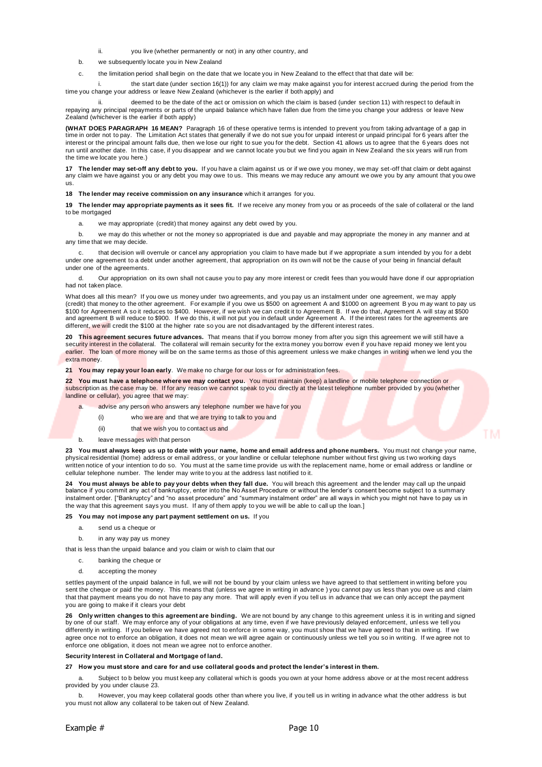- you live (whether permanently or not) in any other country, and
- b. we subsequently locate you in New Zealand
- c. the limitation period shall begin on the date that we locate you in New Zealand to the effect that that date will be:

i. the start date (under section 16(1)) for any claim we may make against you for interest accrued during the period from the time you change your address or leave New Zealand (whichever is the earlier if both apply) and

deemed to be the date of the act or omission on which the claim is based (under section 11) with respect to default in repaying any principal repayments or parts of the unpaid balance which have fallen due from the time you change your address or leave New Zealand (whichever is the earlier if both apply)

**(WHAT DOES PARAGRAPH 16 MEAN?** Paragraph 16 of these operative terms is intended to prevent you from taking advantage of a gap in time in order not to pay. The Limitation Act states that generally if we do not sue you for unpaid interest or unpaid principal for 6 years after the interest or the principal amount falls due, then we lose our right to sue you for the debt. Section 41 allows us to agree that the 6 years does not run until another date. In this case, if you disappear and we cannot locate you but we find you again in New Zealand the six years will run from the time we locate you here.)

**17 The lender may set-off any debt to you.** If you have a claim against us or if we owe you money, we may set-off that claim or debt against any claim we have against you or any debt you may owe to us. This means we may reduce any amount we owe you by any amount that you owe us.

**18 The lender may receive commission on any insurance** which it arranges for you.

**19 The lender may appropriate payments as it sees fit.** If we receive any money from you or as proceeds of the sale of collateral or the land to be mortgaged

a. we may appropriate (credit) that money against any debt owed by you.

b. we may do this whether or not the money so appropriated is due and payable and may appropriate the money in any manner and at any time that we may decide.

that decision will overrule or cancel any appropriation you claim to have made but if we appropriate a sum intended by you for a debt under one agreement to a debt under another agreement, that appropriation on its own will not be the cause of your being in financial default under one of the agreements.

d. Our appropriation on its own shall not cause you to pay any more interest or credit fees than you would have done if our appropriation had not taken place.

What does all this mean? If you owe us money under two agreements, and you pay us an instalment under one agreement, we may apply (credit) that money to the other agreement. For example if you owe us \$500 on agreement A and \$1000 on agreement B you m ay want to pay us \$100 for Agreement A so it reduces to \$400. However, if we wish we can credit it to Agreement B. If we do that, Agreement A will stay at \$500 and agreement B will reduce to \$900. If we do this, it will not put you in default under Agreement A. If the interest rates for the agreements are different, we will credit the \$100 at the higher rate so you are not disadvantaged by the different interest rates.

**20 This agreement secures future advances.** That means that if you borrow money from after you sign this agreement we will still have a security interest in the collateral. The collateral will remain security for the extra money you borrow even if you have repaid money we lent you earlier. The loan of more money will be on the same terms as those of this agreement unless we make changes in writing when we lend you the extra money.

**21 You may repay your loan early**. We make no charge for our loss or for administration fees.

**22 You must have a telephone where we may contact you.** You must maintain (keep) a landline or mobile telephone connection or subscription as the case may be. If for any reason we cannot speak to you directly at the latest telephone number provided by you (whether landline or cellular), you agree that we may:

- a. advise any person who answers any telephone number we have for you
	- (i) who we are and that we are trying to talk to you and
	- (ii) that we wish you to contact us and
- b. leave messages with that person

**23 You must always keep us up to date with your name, home and email address and phone numbers.** You must not change your name, physical residential (home) address or email address, or your landline or cellular telephone number without first giving us two working days written notice of your intention to do so. You must at the same time provide us with the replacement name, home or email address or landline or cellular telephone number. The lender may write to you at the address last notified to it.

**24 You must always be able to pay your debts when they fall due.** You will breach this agreement and the lender may call up the unpaid balance if you commit any act of bankruptcy, enter into the No Asset Procedure or without the lender's consent become subject to a summary instalment order. ["Bankruptcy" and "no asset procedure" and "summary instalment order" are all ways in which you might not have to pay us in the way that this agreement says you must. If any of them apply to you we will be able to call up the loan.]

**25 You may not impose any part payment settlement on us.** If you

- a. send us a cheque or
- b. in any way pay us money

that is less than the unpaid balance and you claim or wish to claim that our

- c. banking the cheque or
- d. accepting the money

settles payment of the unpaid balance in full, we will not be bound by your claim unless we have agreed to that settlement in writing before you sent the cheque or paid the money. This means that (unless we agree in writing in advance ) you cannot pay us less than you owe us and claim that that payment means you do not have to pay any more. That will apply even if you tell us in advance that we can only accept the payment you are going to make if it clears your debt

**26 Only written changes to this agreement are binding.** We are not bound by any change to this agreement unless it is in writing and signed by one of our staff. We may enforce any of your obligations at any time, even if we have previously delayed enforcement, unless we tell you differently in writing. If you believe we have agreed not to enforce in some way, you must show that we have agreed to that in writing. If we agree once not to enforce an obligation, it does not mean we will agree again or continuously unless we tell you so in writing. If we agree not to enforce one obligation, it does not mean we agree not to enforce another.

#### **Security Interest in Collateral and Mortgage of land.**

**27 How you must store and care for and use collateral goods and protect the lender's interest in them.**

a. Subject to b below you must keep any collateral which is goods you own at your home address above or at the most recent address provided by you under clause 23.

b. However, you may keep collateral goods other than where you live, if you tell us in writing in advance what the other address is but you must not allow any collateral to be taken out of New Zealand.

ГM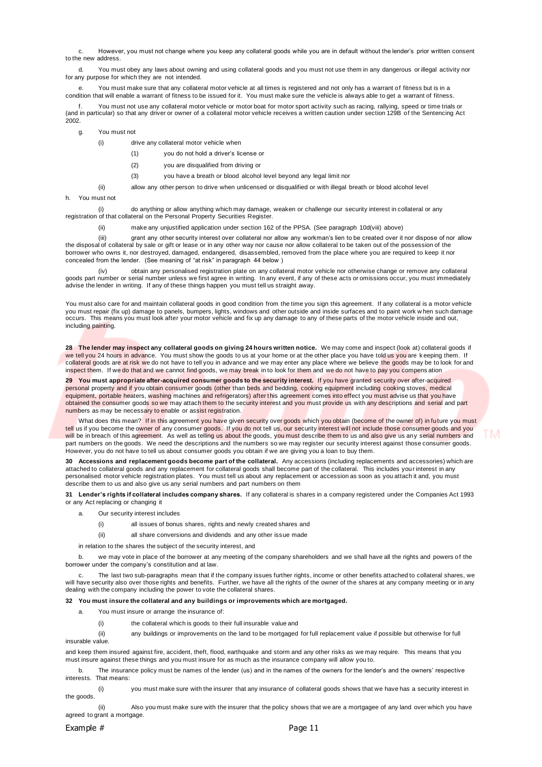c. However, you must not change where you keep any collateral goods while you are in default without the lender's prior written consent to the new address.

d. You must obey any laws about owning and using collateral goods and you must not use them in any dangerous or illegal activity nor for any purpose for which they are not intended.

e. You must make sure that any collateral motor vehicle at all times is registered and not only has a warrant of fitness but is in a condition that will enable a warrant of fitness to be issued for it. You must make sure the vehicle is always able to get a warrant of fitness.

You must not use any collateral motor vehicle or motor boat for motor sport activity such as racing, rallying, speed or time trials or (and in particular) so that any driver or owner of a collateral motor vehicle receives a written caution under section 129B of the Sentencing Act 2002.

- g. You must not
	- (i) drive any collateral motor vehicle when
		- (1) you do not hold a driver's license or
		- (2) you are disqualified from driving or
		- (3) you have a breath or blood alcohol level beyond any legal limit nor
	- (ii) allow any other person to drive when unlicensed or disqualified or with illegal breath or blood alcohol level
- h. You must not

(i) do anything or allow anything which may damage, weaken or challenge our security interest in collateral or any registration of that collateral on the Personal Property Securities Register.

(ii) make any unjustified application under section 162 of the PPSA. (See paragraph 10d(viii) above)

(iii) grant any other security interest over collateral nor allow any workman's lien to be created over it nor dispose of nor allow the disposal of collateral by sale or gift or lease or in any other way nor cause nor allow collateral to be taken out of the possession of the borrower who owns it, nor destroyed, damaged, endangered, disassembled, removed from the place where you are required to keep it nor concealed from the lender. (See meaning of "at risk" in paragraph 44 below )

(iv) obtain any personalised registration plate on any collateral motor vehicle nor otherwise change or remove any collateral goods part number or serial number unless we first agree in writing. In any event, if any of these acts or omissions occur, you must immediately advise the lender in writing. If any of these things happen you must tell us straight away.

You must also care for and maintain collateral goods in good condition from the time you sign this agreement. If any collateral is a motor vehicle you must repair (fix up) damage to panels, bumpers, lights, windows and other outside and inside surfaces and to paint work w hen such damage occurs. This means you must look after your motor vehicle and fix up any damage to any of these parts of the motor vehicle inside and out, including painting.

**28 The lender may inspect any collateral goods on giving 24 hours written notice.** We may come and inspect (look at) collateral goods if we tell you 24 hours in advance. You must show the goods to us at your home or at the other place you have told us you are keeping them. If collateral goods are at risk we do not have to tell you in advance and we may enter any place where we believe the goods may be to look for and inspect them. If we do that and we cannot find goods, we may break in to look for them and we do not have to pay you compens ation

**29 You must appropriate after-acquired consumer goods to the security interest.** If you have granted security over after-acquired personal property and if you obtain consumer goods (other than beds and bedding, cooking equipment including cooking stoves, medical equipment, portable heaters, washing machines and refrigerators) after this agreement comes into effect you must advise us that you have obtained the consumer goods so we may attach them to the security interest and you must provide us with any descriptions and serial and part numbers as may be necessary to enable or assist registration.

What does this mean? If in this agreement you have given security over goods which you obtain (become of the owner of) in future you must tell us if you become the owner of any consumer goods. If you do not tell us, our security interest will not include those consumer goods and you will be in breach of this agreement. As well as telling us about the goods, you must describe them to us and also give us any serial numbers and part numbers on the goods. We need the descriptions and the numbers so we may register our security interest against those consumer goods. However, you do not have to tell us about consumer goods you obtain if we are giving you a loan to buy them.

**30 Accessions and replacement goods become part of the collateral.** Any accessions (including replacements and accessories) which are attached to collateral goods and any replacement for collateral goods shall become part of the collateral. This includes your interest in any personalised motor vehicle registration plates. You must tell us about any replacement or accession as soon as you attach it and, you must describe them to us and also give us any serial numbers and part numbers on them

**31 Lender's rights if collateral includes company shares.** If any collateral is shares in a company registered under the Companies Act 1993 or any Act replacing or changing it

- a. Our security interest includes
	- (i) all issues of bonus shares, rights and newly created shares and
	- (ii) all share conversions and dividends and any other issue made

in relation to the shares the subject of the security interest, and

b. we may vote in place of the borrower at any meeting of the company shareholders and we shall have all the rights and powers of the borrower under the company's constitution and at law.

The last two sub-paragraphs mean that if the company issues further rights, income or other benefits attached to collateral shares, we will have security also over those rights and benefits. Further, we have all the rights of the owner of the shares at any company meeting or in any dealing with the company including the power to vote the collateral shares.

#### **32 You must insure the collateral and any buildings or improvements which are mortgaged.**

- a. You must insure or arrange the insurance of:
	- (i) the collateral which is goods to their full insurable value and
- (ii) any buildings or improvements on the land to be mortgaged for full replacement value if possible but otherwise for full insurable value.

and keep them insured against fire, accident, theft, flood, earthquake and storm and any other risks as we may require. This means that you must insure against these things and you must insure for as much as the insurance company will allow you to.

b. The insurance policy must be names of the lender (us) and in the names of the owners for the lender's and the owners' respective interests. That means:

you must make sure with the insurer that any insurance of collateral goods shows that we have has a security interest in the goods.

(ii) Also you must make sure with the insurer that the policy shows that we are a mortgagee of any land over which you have agreed to grant a mortgage.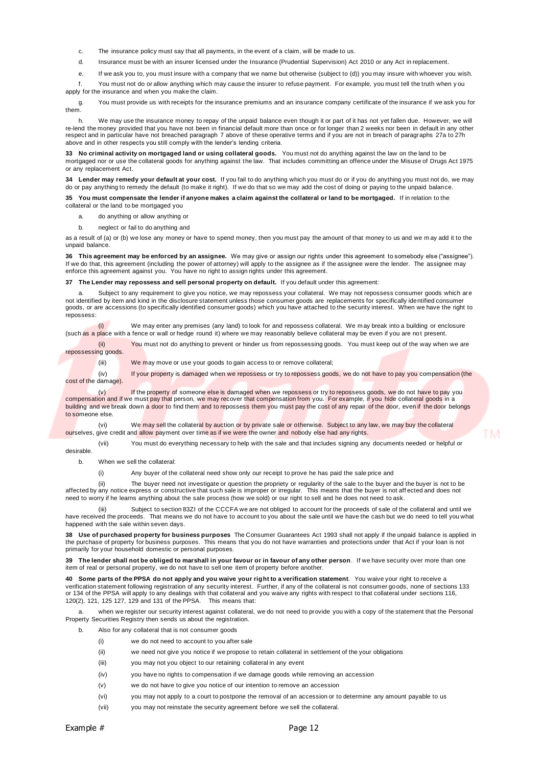- c. The insurance policy must say that all payments, in the event of a claim, will be made to us.
- d. Insurance must be with an insurer licensed under the Insurance (Prudential Supervision) Act 2010 or any Act in replacement.
- e. If we ask you to, you must insure with a company that we name but otherwise (subject to (d)) you may insure with whoever you wish.

f. You must not do or allow anything which may cause the insurer to refuse payment. For example, you must tell the truth when y ou apply for the insurance and when you make the claim.

g. You must provide us with receipts for the insurance premiums and an insurance company certificate of the insurance if we ask you for them.

h. We may use the insurance money to repay of the unpaid balance even though it or part of it has not yet fallen due. However, we will re-lend the money provided that you have not been in financial default more than once or for longer than 2 weeks nor been in default in any other respect and in particular have not breached paragraph 7 above of these operative terms and if you are not in breach of paragraphs 27a to 27h above and in other respects you still comply with the lender's lending criteria.

**33 No criminal activity on mortgaged land or using collateral goods.** You must not do anything against the law on the land to be mortgaged nor or use the collateral goods for anything against the law. That includes committing an offence under the Misuse of Drugs Act 1975 or any replacement Act.

**34 Lender may remedy your default at your cost.** If you fail to do anything which you must do or if you do anything you must not do, we may do or pay anything to remedy the default (to make it right). If we do that so we may add the cost of doing or paying to the unpaid balance.

**35 You must compensate the lender if anyone makes a claim against the collateral or land to be mortgaged.** If in relation to the collateral or the land to be mortgaged you

- a. do anything or allow anything or
- b. neglect or fail to do anything and

as a result of (a) or (b) we lose any money or have to spend money, then you must pay the amount of that money to us and we may add it to the unpaid balance.

**36 This agreement may be enforced by an assignee.** We may give or assign our rights under this agreement to somebody else ("assignee"). If we do that, this agreement (including the power of attorney) will apply to the assignee as if the assignee were the lender. The assignee may enforce this agreement against you. You have no right to assign rights under this agreement.

**37 The Lender may repossess and sell personal property on default.** If you default under this agreement:

a. Subject to any requirement to give you notice, we may repossess your collateral. We may not repossess consumer goods which are not identified by item and kind in the disclosure statement unless those consumer goods are replacements for specifically identified consumer<br>goods, or are accessions (to specifically identified consumer goods) which you h repossess:

(i) We may enter any premises (any land) to look for and repossess collateral. We may break into a building or enclosure (such as a place with a fence or wall or hedge round it) where we may reasonably believe collateral may be even if you are not present.

(ii) You must not do anything to prevent or hinder us from repossessing goods. You must keep out of the way when we are repossessing goods.

(iii) We may move or use your goods to gain access to or remove collateral;

(iv) If your property is damaged when we repossess or try to repossess goods, we do not have to pay you compensation (the cost of the damage).

(v) If the property of someone else is damaged when we repossess or try to repossess goods, we do not have to pay you compensation and if we must pay that person, we may recover that compensation from you. For example, if you hide collateral goods in a building and we break down a door to find them and to repossess them you must pay the cost of any repair of the door, even if the door belongs to someone else.

(vi) We may sell the collateral by auction or by private sale or otherwise. Subject to any law, we may buy the collateral ourselves, give credit and allow payment over time as if we were the owner and nobody else had any rights.

(vii) You must do everything necessary to help with the sale and that includes signing any documents needed or helpful or desirable.

T M

b. When we sell the collateral:

(i) Any buyer of the collateral need show only our receipt to prove he has paid the sale price and

(ii) The buyer need not investigate or question the propriety or regularity of the sale to the buyer and the buyer is not to be affected by any notice express or constructive that such sale is improper or irregular. This means that the buyer is not aff ected and does not need to worry if he learns anything about the sale process (how we sold) or our right to sell and he does not need to ask.

(iii) Subject to section 83ZI of the CCCFA we are not obliged to account for the proceeds of sale of the collateral and until we have received the proceeds. That means we do not have to account to you about the sale until we have the cash but we do need to tell you what happened with the sale within seven days.

**38 Use of purchased property for business purposes** The Consumer Guarantees Act 1993 shall not apply if the unpaid balance is applied in the purchase of property for business purposes. This means that you do not have warranties and protections under that Act if your loan is not primarily for your household domestic or personal purposes.

**39 The lender shall not be obliged to marshall in your favour or in favour of any other person**. If we have security over more than one item of real or personal property, we do not have to sell one item of property before another.

**40 Some parts of the PPSA do not apply and you waive your right to a verification statement**. You waive your right to receive a verification statement following registration of any security interest. Further, if any of the collateral is not consumer goods, none of sections 133 or 134 of the PPSA will apply to any dealings with that collateral and you waive any rights with respect to that collateral under sections 116, 120(2), 121, 125 127, 129 and 131 of the PPSA. This means that:

a. when we register our security interest against collateral, we do not need to provide you with a copy of the statement that the Personal Property Securities Registry then sends us about the registration.

- b. Also for any collateral that is not consumer goods
	- (i) we do not need to account to you after sale
	- (ii) we need not give you notice if we propose to retain collateral in settlement of the your obligations
	- (iii) you may not you object to our retaining collateral in any event
	- (iv) you have no rights to compensation if we damage goods while removing an accession
	- (v) we do not have to give you notice of our intention to remove an accession
	- (vi) you may not apply to a court to postpone the removal of an accession or to determine any amount payable to us
	- (vii) you may not reinstate the security agreement before we sell the collateral.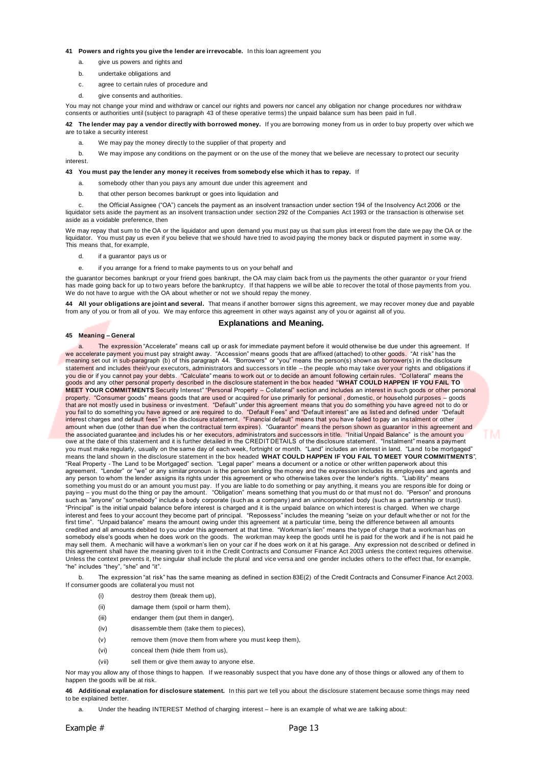#### **41 Powers and rights you give the lender are irrevocable.** In this loan agreement you

- a. give us powers and rights and
- b. undertake obligations and
- c. agree to certain rules of procedure and
- d. give consents and authorities.

You may not change your mind and withdraw or cancel our rights and powers nor cancel any obligation nor change procedures nor withdraw consents or authorities until (subject to paragraph 43 of these operative terms) the unpaid balance sum has been paid in full.

**42 The lender may pay a vendor directly with borrowed money.** If you are borrowing money from us in order to buy property over which we are to take a security interest

a. We may pay the money directly to the supplier of that property and

b. We may impose any conditions on the payment or on the use of the money that we believe are necessary to protect our security interest.

#### **43 You must pay the lender any money it receives from somebody else which it has to repay.** If

- a. somebody other than you pays any amount due under this agreement and
- b. that other person becomes bankrupt or goes into liquidation and

c. the Official Assignee ("OA") cancels the payment as an insolvent transaction under section 194 of the Insolvency Act 2006 or the liquidator sets aside the payment as an insolvent transaction under section 292 of the Companies Act 1993 or the transaction is otherwise set aside as a voidable preference, then

We may repay that sum to the OA or the liquidator and upon demand you must pay us that sum plus interest from the date we pay the OA or the liquidator. You must pay us even if you believe that we should have tried to avoid liquidator. You must pay us even if you believe that we should have tried to avoid paying the money back or disputed payment in some way. This means that, for example,

- d. if a guarantor pays us or
- e. if you arrange for a friend to make payments to us on your behalf and

the guarantor becomes bankrupt or your friend goes bankrupt, the OA may claim back from us the payments the other guarantor or your friend has made going back for up to two years before the bankruptcy. If that happens we will be able to recover the total of those payments from you. We do not have to argue with the OA about whether or not we should repay the money.

**44 All your obligations are joint and several.** That means if another borrower signs this agreement, we may recover money due and payable from any of you or from all of you. We may enforce this agreement in other ways against any of you or against all of you.

### **Explanations and Meaning.**

#### **45 Meaning – General**

The expression "Accelerate" means call up or ask for immediate payment before it would otherwise be due under this agreement. If we accelerate payment you must pay straight away. "Accession" means goods that are affixed (attached) to other goods. "At risk" has the meaning set out in sub-paragraph (b) of this paragraph 44. "Borrowers" or "you" means the person(s) shown as borrower(s) in the disclosure statement and includes their/your executors, administrators and successors in title – the people who may take over your rights and obligations if you die or if you cannot pay your debts. "Calculate" means to work out or to decide an amount following certain rules. "Collateral" means the<br>goods and any other personal property described in the disclosure statement in **MEET YOUR COMMITMENTS** Security Interest" "Personal Property – Collateral" section and includes an interest in such goods or other personal property. "Consumer goods" means goods that are used or acquired for use primarily for personal , domestic, or household purposes – goods that are not mostly used in business or investment. "Default" under this agreement means that you do something you have agreed not to do or<br>you fail to do something you have agreed or are required to do. "Default Fees" interest charges and default fees" in the disclosure statement. "Financial default" means that you have failed to pay an ins talment or other amount when due (other than due when the contractual term expires). "Guarantor" means the person shown as guarantor in this agreement and the associated guarantee and includes his or her executors, administrators and successors in title. "Initial Unpaid Balance" is the amount you owe at the date of this statement and it is further detailed in the CREDIT DETAILS of the disclosure statement. "Instalment" means a payment you must make regularly, usually on the same day of each week, fortnight or month. "Land" includes an interest in land. "Land to be mortgaged" means the land shown in the disclosure statement in the box headed **WHAT COULD HAPPEN IF YOU FAIL TO MEET YOUR COMMITMENTS**", "Real Property - The Land to be Mortgaged" section. "Legal paper" means a document or a notice or other written paperwork about this<br>agreement. "Lender" or "we" or any similar pronoun is the person lending the money and any person to whom the lender assigns its rights under this agreement or who otherwise takes over the lender's rights. "Liability" means something you must do or an amount you must pay. If you are liable to do something or pay anything, it means you are responsible for doing or<br>paying – you must do the thing or pay the amount. "Obligation" means something such as "anyone" or "somebody" include a body corporate (such as a company) and an unincorporated body (such as a partnership or trust). "Principal" is the initial unpaid balance before interest is charged and it is the unpaid balance on which interest is charged. When we charge interest and fees to your account they become part of principal. "Repossess" includes the meaning "seize on your default whether or not for the<br>first time". "Unpaid balance" means the amount owing under this agreement a credited and all amounts debited to you under this agreement at that time. "Workman's lien" means the type of charge that a workman has on somebody else's goods when he does work on the goods. The workman may keep the goods until he is paid for the work and if he is not paid he may sell them. A mechanic will have a workman's lien on your car if he does work on it at his garage. Any expression not described or defined in this agreement shall have the meaning given to it in the Credit Contracts and Consumer Finance Act 2003 unless the context requires otherwise. Unless the context prevents it, the singular shall include the plural and vice versa and one gender includes others to the effect that, for example, "he" includes "they", "she" and "it".

b. The expression "at risk" has the same meaning as defined in section 83E(2) of the Credit Contracts and Consumer Finance Act 2003. If consumer goods are collateral you must not

- (i) destroy them (break them up),
- (ii) damage them (spoil or harm them),
- (iii) endanger them (put them in danger),
- (iv) disassemble them (take them to pieces),
- (v) remove them (move them from where you must keep them),
- (vi) conceal them (hide them from us),
- (vii) sell them or give them away to anyone else.

Nor may you allow any of those things to happen. If we reasonably suspect that you have done any of those things or allowed any of them to happen the goods will be at risk.

**46 Additional explanation for disclosure statement.** In this part we tell you about the disclosure statement because some things may need to be explained better.

a. Under the heading INTEREST Method of charging interest – here is an example of what we are talking about: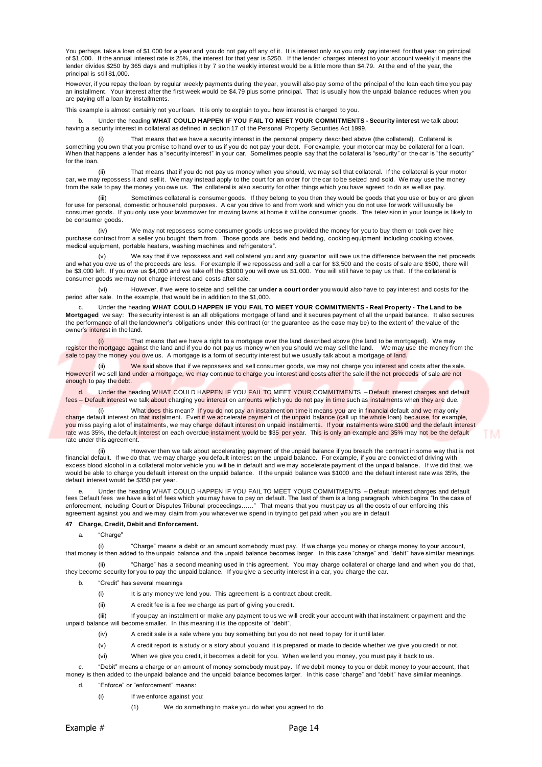You perhaps take a loan of \$1,000 for a year and you do not pay off any of it. It is interest only so you only pay interest for that year on principal of \$1,000. If the annual interest rate is 25%, the interest for that year is \$250. If the lender charges interest to your account weekly it means the lender divides \$250 by 365 days and multiplies it by 7 so the weekly interest would be a little more than \$4.79. At the end of the year, the principal is still \$1,000.

However, if you repay the loan by regular weekly payments during the year, you will also pay some of the principal of the loan each time you pay an installment. Your interest after the first week would be \$4.79 plus some principal. That is usually how the unpaid balance reduces when you are paying off a loan by installments.

This example is almost certainly not your loan. It is only to explain to you how interest is charged to you.

b. Under the heading **WHAT COULD HAPPEN IF YOU FAIL TO MEET YOUR COMMITMENTS - Security interest** we talk about having a security interest in collateral as defined in section 17 of the Personal Property Securities Act 1999.

That means that we have a security interest in the personal property described above (the collateral). Collateral is something you own that you promise to hand over to us if you do not pay your debt. For example, your motor car may be collateral for a Ioan.<br>When that happens a lender has a "security interest" in your car. Sometimes for the loan.

(ii) That means that if you do not pay us money when you should, we may sell that collateral. If the collateral is your motor car, we may repossess it and sell it. We may instead apply to the court for an order for the car to be seized and sold. We may use the money from the sale to pay the money you owe us. The collateral is also security for other things which you have agreed to do as w ell as pay.

iii) Sometimes collateral is consumer goods. If they belong to you then they would be goods that you use or buy or are given)<br>for use for personal, domestic or household purposes. A car you drive to and from work and which consumer goods. If you only use your lawnmower for mowing lawns at home it will be consumer goods. The television in your lounge is likely to be consumer goods.

(iv) We may not repossess some consumer goods unless we provided the money for you to buy them or took over hire purchase contract from a seller you bought them from. Those goods are "beds and bedding, cooking equipment including cooking stoves, medical equipment, portable heaters, washing machines and refrigerators".

(v) We say that if we repossess and sell collateral you and any guarantor will owe us the difference between the net proceeds and what you owe us of the proceeds are less. For example if we repossess and sell a car for \$3,500 and the costs of sale are \$500, there will be \$3,000 left. If you owe us \$4,000 and we take off the \$3000 you will owe us \$1,000. You will still have to pay us that. If the collateral is consumer goods we may not charge interest and costs after sale.

(vi) However, if we were to seize and sell the car **under a court order** you would also have to pay interest and costs for the period after sale. In the example, that would be in addition to the \$1,000.

c. Under the heading **WHAT COULD HAPPEN IF YOU FAIL TO MEET YOUR COMMITMENTS - Real Property - The Land to be Mortgaged** we say: The security interest is an all obligations mortgage of land and it secures payment of all the unpaid balance. It also secures the performance of all the landowner's obligations under this contract (or the guarantee as the case may be) to the extent of the value of the owner's interest in the land.

That means that we have a right to a mortgage over the land described above (the land to be mortgaged). We may register the mortgage against the land and if you do not pay us money when you should we may sell the land. We may use the money from the sale to pay the money you owe us. A mortgage is a form of security interest but we usually talk about a mortgage of land.

(ii) We said above that if we repossess and sell consumer goods, we may not charge you interest and costs after the sale. However if we sell land under a mortgage, we may continue to charge you interest and costs after the sale if the net proceeds of sale are not enough to pay the debt.

d. Under the heading WHAT COULD HAPPEN IF YOU FAIL TO MEET YOUR COMMITMENTS – Default interest charges and default fees – Default interest we talk about charging you interest on amounts which you do not pay in time such as instalments when they are due.

(i) What does this mean? If you do not pay an instalment on time it means you are in financial default and we may only<br>Charge default interest on that instalment. Even if we accelerate payment of the unpaid balance (call u you miss paying a lot of instalments, we may charge default interest on unpaid instalments. If your instalments were \$100 and the default interest rate was 35%, the default interest on each overdue instalment would be \$35 per year. This is only an example and 35% may not be the default rate under this agreement.

na.

ii) However then we talk about accelerating payment of the unpaid balance if you breach the contract in some way that is not)<br>financial default. If we do that, we may charge you default interest on the unpaid balance. Fo excess blood alcohol in a collateral motor vehicle you will be in default and we may accelerate payment of the unpaid balance. If we did that, we would be able to charge you default interest on the unpaid balance. If the unpaid balance was \$1000 and the default interest rate was 35%, the default interest would be \$350 per year.

Under the heading WHAT COULD HAPPEN IF YOU FAIL TO MEET YOUR COMMITMENTS - Default interest charges and default fees Default fees we have a list of fees which you may have to pay on default. The last of them is a long paragraph which begins "In the case of enforcement, including Court or Disputes Tribunal proceedings……" That means that you must pay us all the costs of our enforc ing this agreement against you and we may claim from you whatever we spend in trying to get paid when you are in default

### **47 Charge, Credit, Debit and Enforcement.**

a. "Charge

(i) "Charge" means a debit or an amount somebody must pay. If we charge you money or charge money to your account, that money is then added to the unpaid balance and the unpaid balance becomes larger. In this case "charge" and "debit" have simi lar meanings.

(ii) "Charge" has a second meaning used in this agreement. You may charge collateral or charge land and when you do that, they become security for you to pay the unpaid balance. If you give a security interest in a car, you charge the car.

b. "Credit" has several meanings

- (i) It is any money we lend you. This agreement is a contract about credit.
- (ii) A credit fee is a fee we charge as part of giving you credit.

(iii) If you pay an instalment or make any payment to us we will credit your account with that instalment or payment and the unpaid balance will become smaller. In this meaning it is the opposite of "debit".

- (iv) A credit sale is a sale where you buy something but you do not need to pay for it until later.
- (v) A credit report is a study or a story about you and it is prepared or made to decide whether we give you credit or not.

(vi) When we give you credit, it becomes a debit for you. When we lend you money, you must pay it back to us.

c. "Debit" means a charge or an amount of money somebody must pay. If we debit money to you or debit money to your account, that money is then added to the unpaid balance and the unpaid balance becomes larger. In this case "charge" and "debit" have similar meanings.

- d. "Enforce" or "enforcement" means:
	- (i) If we enforce against you:
		- (1) We do something to make you do what you agreed to do